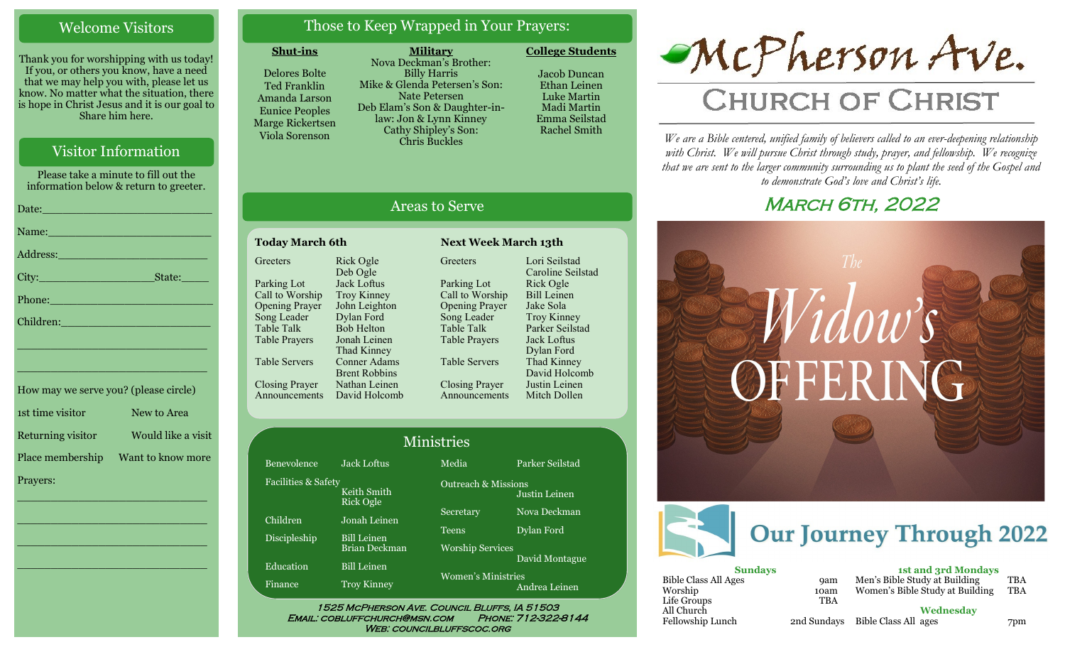# Welcome Visitors

Thank you for worshipping with us today! If you, or others you know, have a need that we may help you with, please let us know. No matter what the situation, there is hope in Christ Jesus and it is our goal to Share him here.

# Visitor Information

Please take a minute to fill out the information below & return to greeter.

|                             | Date: 2008 - 2008 - 2008 - 2019 - 2019 - 2019 - 2019 - 2019 - 2019 - 2019 - 2019 - 2019 - 2019 - 2019 - 2019 -                                                                                                                 |
|-----------------------------|--------------------------------------------------------------------------------------------------------------------------------------------------------------------------------------------------------------------------------|
|                             | Name: Name and the second state of the second state of the second state of the second state of the second state of the second state of the second state of the second state of the second state of the second state of the sec |
|                             | Address: 2008 - 2008 - 2010 - 2010 - 2010 - 2011 - 2012 - 2012 - 2014 - 2014 - 2014 - 2014 - 2014 - 2014 - 20                                                                                                                  |
|                             |                                                                                                                                                                                                                                |
|                             |                                                                                                                                                                                                                                |
| Children: New York Children |                                                                                                                                                                                                                                |
|                             | the contract of the contract of the contract of the contract of the contract of the contract of the contract of                                                                                                                |

| How may we serve you? (please circle) |                    |
|---------------------------------------|--------------------|
| 1st time visitor                      | New to Area        |
| Returning visitor                     | Would like a visit |
| Place membership                      | Want to know more  |
| Prayers:                              |                    |

\_\_\_\_\_\_\_\_\_\_\_\_\_\_\_\_\_\_\_\_\_\_\_\_\_\_\_\_

\_\_\_\_\_\_\_\_\_\_\_\_\_\_\_\_\_\_\_\_\_\_\_\_\_\_\_\_

\_\_\_\_\_\_\_\_\_\_\_\_\_\_\_\_\_\_\_\_\_\_\_\_\_\_\_\_

\_\_\_\_\_\_\_\_\_\_\_\_\_\_\_\_\_\_\_\_\_\_\_\_\_\_\_\_

\_\_\_\_\_\_\_\_\_\_\_\_\_\_\_\_\_\_\_\_\_\_\_\_\_\_\_\_

# Those to Keep Wrapped in Your Prayers:

### **Shut-ins**

Delores Bolte Ted Franklin Amanda Larson Eunice Peoples Marge Rickertsen Viola Sorenson

**Military** Nova Deckman's Brother: Billy Harris Mike & Glenda Petersen's Son: Nate Petersen Deb Elam's Son & Daughter-inlaw: Jon & Lynn Kinney Cathy Shipley's Son: Chris Buckles

Jacob Duncan Ethan Leinen Luke Martin Madi Martin

Emma Seilstad Rachel Smith

**College Students** 

# Areas to Serve

#### **Today March 6th Next Week March 13th Greeters** Parking Lot Call to Worship Opening Prayer Song Leader Table Talk Table Prayers Table Servers Closing Prayer Rick Ogle Deb Ogle Jack Loftus Troy Kinney Dylan Ford Bob Helton Jonah Leinen Thad Kinney

Fac

Announcements John Leighton Conner Adams Brent Robbins Nathan Leinen David Holcomb

**Greeters** Parking Lot Call to Worship Opening Prayer Song Leader Table Talk Table Prayers Table Servers Closing Prayer Announcements Lori Seilstad Caroline Seilstad Rick Ogle Bill Leinen Jake Sola Troy Kinney Parker Seilstad Jack Loftus Dylan Ford Thad Kinney David Holcomb Justin Leinen Mitch Dollen

| <b>Jack Loftus</b>                 | Media                                            | Parker Seilstad                       |
|------------------------------------|--------------------------------------------------|---------------------------------------|
| Facilities & Safety<br>Keith Smith | <b>Outreach &amp; Missions</b>                   | Justin Leinen                         |
| Jonah Leinen                       | Secretary                                        | Nova Deckman                          |
| <b>Bill Leinen</b>                 | <b>Teens</b>                                     | Dylan Ford                            |
|                                    |                                                  | David Montague                        |
| <b>Troy Kinney</b>                 | <b>Women's Ministries</b>                        | Andrea Leinen                         |
|                                    | Rick Ogle<br>Brian Deckman<br><b>Bill Leinen</b> | Ministries<br><b>Worship Services</b> |

Email: cobluffchurch@msn.com Phone: 712-322-8144 WEB: COUNCILBLUFFSCOC.ORG

# McPherson Ave.

# **CHURCH OF CHRIST**

*We are a Bible centered, unified family of believers called to an ever-deepening relationship*  with Christ. We will pursue Christ through study, prayer, and fellowship. We recognize *that we are sent to the larger community surrounding us to plant the seed of the Gospel and to demonstrate God's love and Christ's life.*

# **MARCH 6TH, 2022**



| <b>9am</b> |
|------------|
| 10am       |
| <b>TBA</b> |
|            |
| 2nd Sunda  |
|            |

| <b>1st and 3rd Mondays</b>      |            |
|---------------------------------|------------|
| Men's Bible Study at Building   | <b>TBA</b> |
| Women's Bible Study at Building | <b>TBA</b> |
|                                 |            |

**Wednesday**

Fellowship Lunch 2nd Sundays Bible Class All ages 7pm

10am<br>TBA